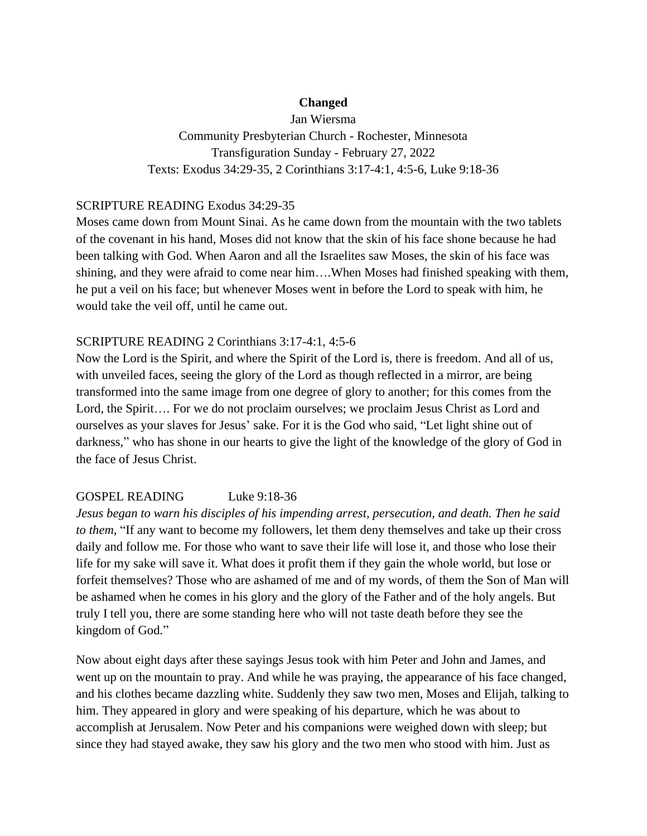## **Changed**

Jan Wiersma Community Presbyterian Church - Rochester, Minnesota Transfiguration Sunday - February 27, 2022 Texts: Exodus 34:29-35, 2 Corinthians 3:17-4:1, 4:5-6, Luke 9:18-36

#### SCRIPTURE READING Exodus 34:29-35

Moses came down from Mount Sinai. As he came down from the mountain with the two tablets of the covenant in his hand, Moses did not know that the skin of his face shone because he had been talking with God. When Aaron and all the Israelites saw Moses, the skin of his face was shining, and they were afraid to come near him….When Moses had finished speaking with them, he put a veil on his face; but whenever Moses went in before the Lord to speak with him, he would take the veil off, until he came out.

## SCRIPTURE READING 2 Corinthians 3:17-4:1, 4:5-6

Now the Lord is the Spirit, and where the Spirit of the Lord is, there is freedom. And all of us, with unveiled faces, seeing the glory of the Lord as though reflected in a mirror, are being transformed into the same image from one degree of glory to another; for this comes from the Lord, the Spirit…. For we do not proclaim ourselves; we proclaim Jesus Christ as Lord and ourselves as your slaves for Jesus' sake. For it is the God who said, "Let light shine out of darkness," who has shone in our hearts to give the light of the knowledge of the glory of God in the face of Jesus Christ.

# GOSPEL READING Luke 9:18-36

*Jesus began to warn his disciples of his impending arrest, persecution, and death. Then he said to them*, "If any want to become my followers, let them deny themselves and take up their cross daily and follow me. For those who want to save their life will lose it, and those who lose their life for my sake will save it. What does it profit them if they gain the whole world, but lose or forfeit themselves? Those who are ashamed of me and of my words, of them the Son of Man will be ashamed when he comes in his glory and the glory of the Father and of the holy angels. But truly I tell you, there are some standing here who will not taste death before they see the kingdom of God."

Now about eight days after these sayings Jesus took with him Peter and John and James, and went up on the mountain to pray. And while he was praying, the appearance of his face changed, and his clothes became dazzling white. Suddenly they saw two men, Moses and Elijah, talking to him. They appeared in glory and were speaking of his departure, which he was about to accomplish at Jerusalem. Now Peter and his companions were weighed down with sleep; but since they had stayed awake, they saw his glory and the two men who stood with him. Just as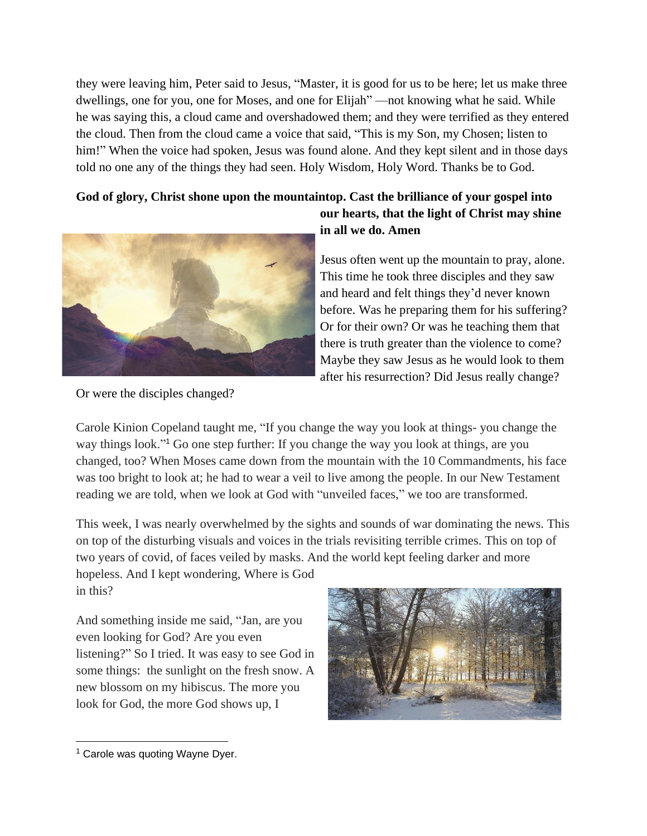they were leaving him, Peter said to Jesus, "Master, it is good for us to be here; let us make three dwellings, one for you, one for Moses, and one for Elijah" —not knowing what he said. While he was saying this, a cloud came and overshadowed them; and they were terrified as they entered the cloud. Then from the cloud came a voice that said, "This is my Son, my Chosen; listen to him!" When the voice had spoken, Jesus was found alone. And they kept silent and in those days told no one any of the things they had seen. Holy Wisdom, Holy Word. Thanks be to God.

# **God of glory, Christ shone upon the mountaintop. Cast the brilliance of your gospel into**



# **our hearts, that the light of Christ may shine in all we do. Amen**

Jesus often went up the mountain to pray, alone. This time he took three disciples and they saw and heard and felt things they'd never known before. Was he preparing them for his suffering? Or for their own? Or was he teaching them that there is truth greater than the violence to come? Maybe they saw Jesus as he would look to them after his resurrection? Did Jesus really change?

Or were the disciples changed?

Carole Kinion Copeland taught me, "If you change the way you look at things- you change the way things look." <sup>1</sup> Go one step further: If you change the way you look at things, are you changed, too? When Moses came down from the mountain with the 10 Commandments, his face was too bright to look at; he had to wear a veil to live among the people. In our New Testament reading we are told, when we look at God with "unveiled faces," we too are transformed.

This week, I was nearly overwhelmed by the sights and sounds of war dominating the news. This on top of the disturbing visuals and voices in the trials revisiting terrible crimes. This on top of two years of covid, of faces veiled by masks. And the world kept feeling darker and more hopeless. And I kept wondering, Where is God

in this?

And something inside me said, "Jan, are you even looking for God? Are you even listening?" So I tried. It was easy to see God in some things: the sunlight on the fresh snow. A new blossom on my hibiscus. The more you look for God, the more God shows up, I



<sup>&</sup>lt;sup>1</sup> Carole was quoting Wayne Dyer.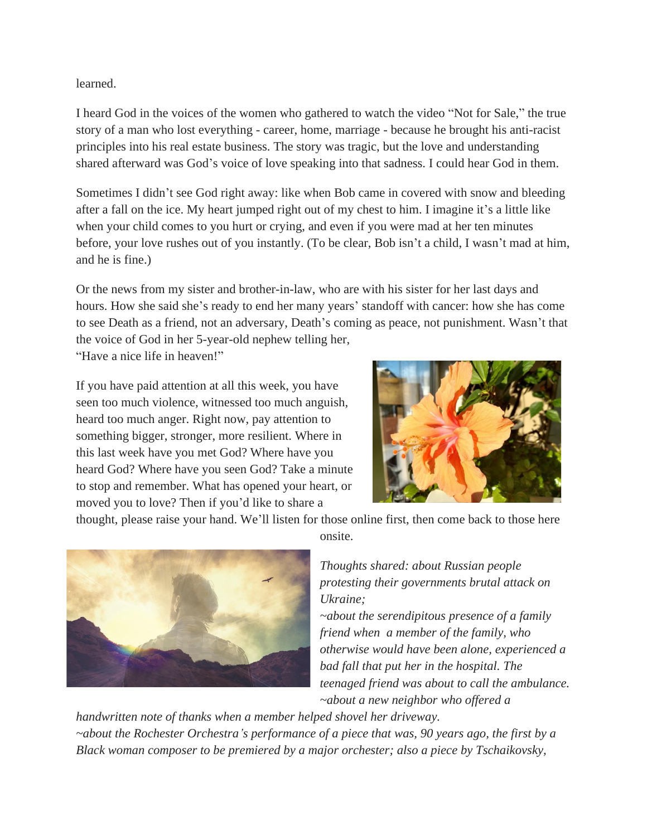#### learned.

I heard God in the voices of the women who gathered to watch the video "Not for Sale," the true story of a man who lost everything - career, home, marriage - because he brought his anti-racist principles into his real estate business. The story was tragic, but the love and understanding shared afterward was God's voice of love speaking into that sadness. I could hear God in them.

Sometimes I didn't see God right away: like when Bob came in covered with snow and bleeding after a fall on the ice. My heart jumped right out of my chest to him. I imagine it's a little like when your child comes to you hurt or crying, and even if you were mad at her ten minutes before, your love rushes out of you instantly. (To be clear, Bob isn't a child, I wasn't mad at him, and he is fine.)

Or the news from my sister and brother-in-law, who are with his sister for her last days and hours. How she said she's ready to end her many years' standoff with cancer: how she has come to see Death as a friend, not an adversary, Death's coming as peace, not punishment. Wasn't that the voice of God in her 5-year-old nephew telling her,

"Have a nice life in heaven!"

If you have paid attention at all this week, you have seen too much violence, witnessed too much anguish, heard too much anger. Right now, pay attention to something bigger, stronger, more resilient. Where in this last week have you met God? Where have you heard God? Where have you seen God? Take a minute to stop and remember. What has opened your heart, or moved you to love? Then if you'd like to share a



thought, please raise your hand. We'll listen for those online first, then come back to those here



onsite.

*Thoughts shared: about Russian people protesting their governments brutal attack on Ukraine;* 

*~about the serendipitous presence of a family friend when a member of the family, who otherwise would have been alone, experienced a bad fall that put her in the hospital. The teenaged friend was about to call the ambulance. ~about a new neighbor who offered a* 

*handwritten note of thanks when a member helped shovel her driveway. ~about the Rochester Orchestra's performance of a piece that was, 90 years ago, the first by a Black woman composer to be premiered by a major orchester; also a piece by Tschaikovsky,*